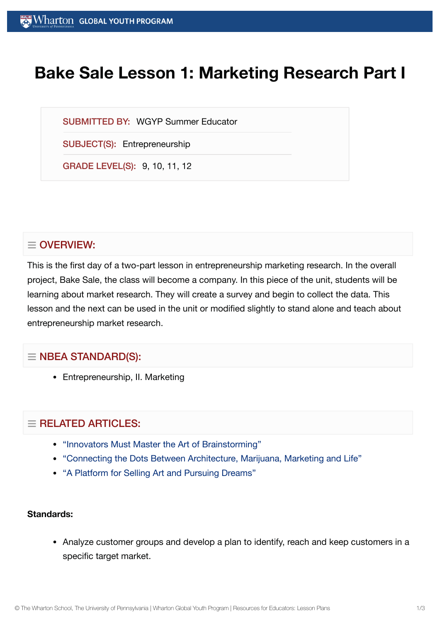# **Bake Sale Lesson 1: Marketing Research Part I**

SUBMITTED BY: WGYP Summer Educator

SUBJECT(S): Entrepreneurship

GRADE LEVEL(S): 9, 10, 11, 12

# $\equiv$  OVERVIEW:

This is the first day of a two-part lesson in entrepreneurship marketing research. In the overall project, Bake Sale, the class will become a company. In this piece of the unit, students will be learning about market research. They will create a survey and begin to collect the data. This lesson and the next can be used in the unit or modified slightly to stand alone and teach about entrepreneurship market research.

# $\equiv$  NBEA STANDARD(S):

Entrepreneurship, II. Marketing

# $=$  RELATED ARTICLES:

- ["Innovators Must](https://globalyouth.wharton.upenn.edu/articles/innovators-must-master-the-art-of-brainstorming/) Master the Art of Brainstorming"
- "Connecting the [Dots Between](https://globalyouth.wharton.upenn.edu/articles/connecting-dots-architecture-marijuana-life/) Architecture, Marijuana, Marketing and Life"
- "A Platform for Selling Art and [Pursuing](https://globalyouth.wharton.upenn.edu/articles/platform-selling-art-pursuing-dreams/) Dreams"

#### **Standards:**

Analyze customer groups and develop a plan to identify, reach and keep customers in a specific target market.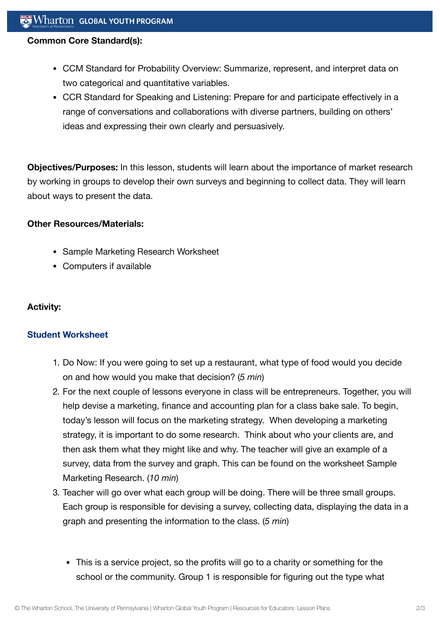### **Common Core Standard(s):**

- CCM Standard for Probability Overview: Summarize, represent, and interpret data on two categorical and quantitative variables.
- CCR Standard for Speaking and Listening: Prepare for and participate effectively in a range of conversations and collaborations with diverse partners, building on others' ideas and expressing their own clearly and persuasively.

**Objectives/Purposes:** In this lesson, students will learn about the importance of market research by working in groups to develop their own surveys and beginning to collect data. They will learn about ways to present the data.

### **Other Resources/Materials:**

- Sample Marketing Research Worksheet
- Computers if available

## **Activity:**

## **Student [Worksheet](https://globalyouth.wharton.upenn.edu/wp-content/uploads/2012/02/Entreprenuership15_Marketing_Wo.doc)**

- 1. Do Now: If you were going to set up a restaurant, what type of food would you decide on and how would you make that decision? (*5 min*)
- 2. For the next couple of lessons everyone in class will be entrepreneurs. Together, you will help devise a marketing, finance and accounting plan for a class bake sale. To begin, today's lesson will focus on the marketing strategy. When developing a marketing strategy, it is important to do some research. Think about who your clients are, and then ask them what they might like and why. The teacher will give an example of a survey, data from the survey and graph. This can be found on the worksheet Sample Marketing Research. (*10 min*)
- 3. Teacher will go over what each group will be doing. There will be three small groups. Each group is responsible for devising a survey, collecting data, displaying the data in a graph and presenting the information to the class. (*5 min*)
	- This is a service project, so the profits will go to a charity or something for the school or the community. Group 1 is responsible for figuring out the type what